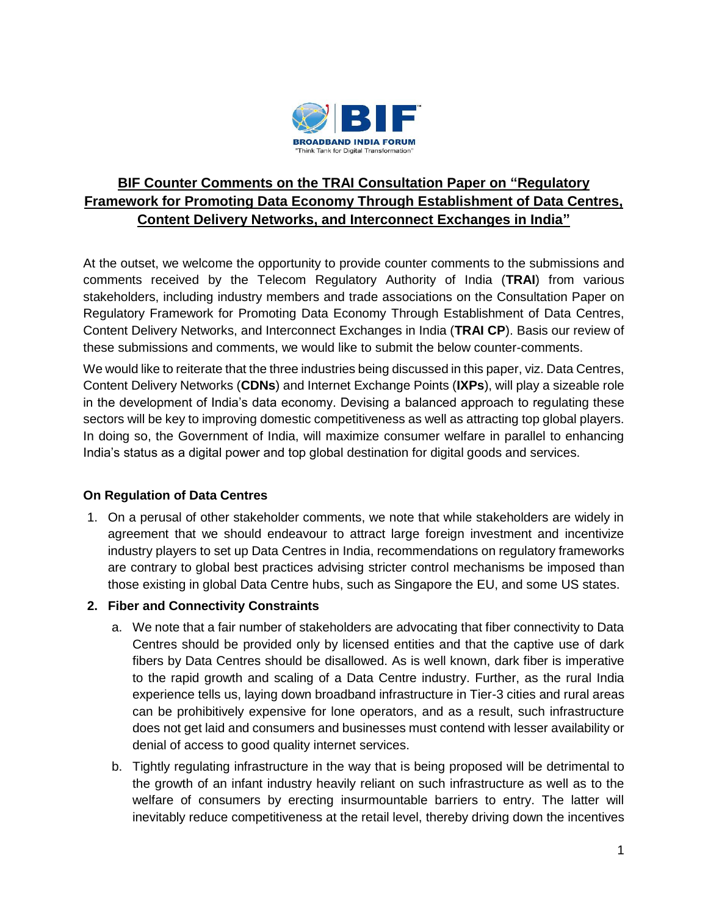

# **BIF Counter Comments on the TRAI Consultation Paper on "Regulatory Framework for Promoting Data Economy Through Establishment of Data Centres, Content Delivery Networks, and Interconnect Exchanges in India"**

At the outset, we welcome the opportunity to provide counter comments to the submissions and comments received by the Telecom Regulatory Authority of India (**TRAI**) from various stakeholders, including industry members and trade associations on the Consultation Paper on Regulatory Framework for Promoting Data Economy Through Establishment of Data Centres, Content Delivery Networks, and Interconnect Exchanges in India (**TRAI CP**). Basis our review of these submissions and comments, we would like to submit the below counter-comments.

We would like to reiterate that the three industries being discussed in this paper, viz. Data Centres, Content Delivery Networks (**CDNs**) and Internet Exchange Points (**IXPs**), will play a sizeable role in the development of India's data economy. Devising a balanced approach to regulating these sectors will be key to improving domestic competitiveness as well as attracting top global players. In doing so, the Government of India, will maximize consumer welfare in parallel to enhancing India's status as a digital power and top global destination for digital goods and services.

## **On Regulation of Data Centres**

- 1. On a perusal of other stakeholder comments, we note that while stakeholders are widely in agreement that we should endeavour to attract large foreign investment and incentivize industry players to set up Data Centres in India, recommendations on regulatory frameworks are contrary to global best practices advising stricter control mechanisms be imposed than those existing in global Data Centre hubs, such as Singapore the EU, and some US states.
- **2. Fiber and Connectivity Constraints**
	- a. We note that a fair number of stakeholders are advocating that fiber connectivity to Data Centres should be provided only by licensed entities and that the captive use of dark fibers by Data Centres should be disallowed. As is well known, dark fiber is imperative to the rapid growth and scaling of a Data Centre industry. Further, as the rural India experience tells us, laying down broadband infrastructure in Tier-3 cities and rural areas can be prohibitively expensive for lone operators, and as a result, such infrastructure does not get laid and consumers and businesses must contend with lesser availability or denial of access to good quality internet services.
	- b. Tightly regulating infrastructure in the way that is being proposed will be detrimental to the growth of an infant industry heavily reliant on such infrastructure as well as to the welfare of consumers by erecting insurmountable barriers to entry. The latter will inevitably reduce competitiveness at the retail level, thereby driving down the incentives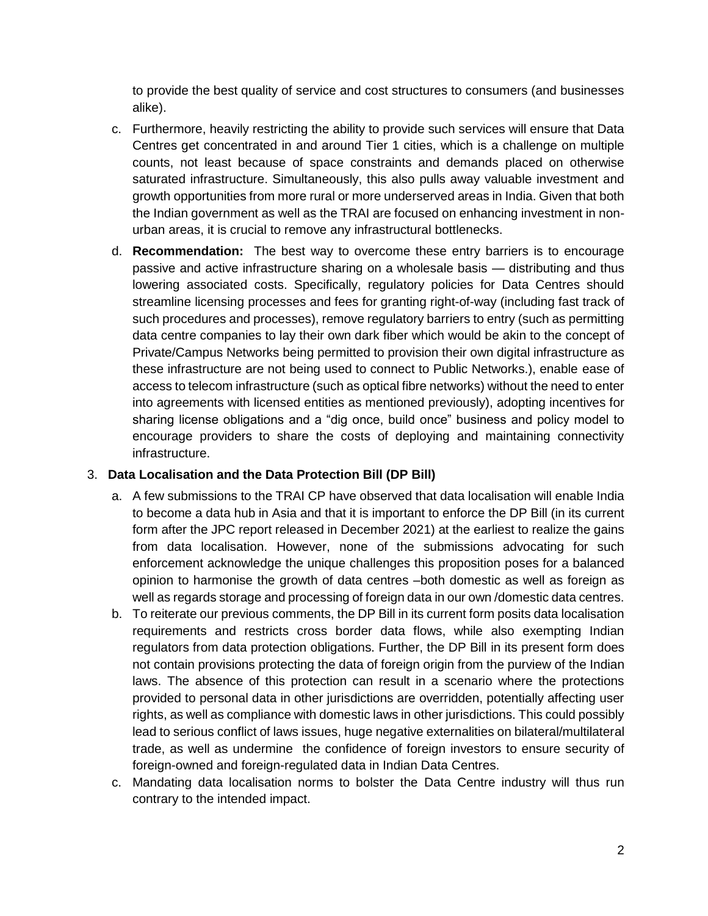to provide the best quality of service and cost structures to consumers (and businesses alike).

- c. Furthermore, heavily restricting the ability to provide such services will ensure that Data Centres get concentrated in and around Tier 1 cities, which is a challenge on multiple counts, not least because of space constraints and demands placed on otherwise saturated infrastructure. Simultaneously, this also pulls away valuable investment and growth opportunities from more rural or more underserved areas in India. Given that both the Indian government as well as the TRAI are focused on enhancing investment in nonurban areas, it is crucial to remove any infrastructural bottlenecks.
- d. **Recommendation:** The best way to overcome these entry barriers is to encourage passive and active infrastructure sharing on a wholesale basis — distributing and thus lowering associated costs. Specifically, regulatory policies for Data Centres should streamline licensing processes and fees for granting right-of-way (including fast track of such procedures and processes), remove regulatory barriers to entry (such as permitting data centre companies to lay their own dark fiber which would be akin to the concept of Private/Campus Networks being permitted to provision their own digital infrastructure as these infrastructure are not being used to connect to Public Networks.), enable ease of access to telecom infrastructure (such as optical fibre networks) without the need to enter into agreements with licensed entities as mentioned previously), adopting incentives for sharing license obligations and a "dig once, build once" business and policy model to encourage providers to share the costs of deploying and maintaining connectivity infrastructure.

#### 3. **Data Localisation and the Data Protection Bill (DP Bill)**

- a. A few submissions to the TRAI CP have observed that data localisation will enable India to become a data hub in Asia and that it is important to enforce the DP Bill (in its current form after the JPC report released in December 2021) at the earliest to realize the gains from data localisation. However, none of the submissions advocating for such enforcement acknowledge the unique challenges this proposition poses for a balanced opinion to harmonise the growth of data centres –both domestic as well as foreign as well as regards storage and processing of foreign data in our own /domestic data centres.
- b. To reiterate our previous comments, the DP Bill in its current form posits data localisation requirements and restricts cross border data flows, while also exempting Indian regulators from data protection obligations. Further, the DP Bill in its present form does not contain provisions protecting the data of foreign origin from the purview of the Indian laws. The absence of this protection can result in a scenario where the protections provided to personal data in other jurisdictions are overridden, potentially affecting user rights, as well as compliance with domestic laws in other jurisdictions. This could possibly lead to serious conflict of laws issues, huge negative externalities on bilateral/multilateral trade, as well as undermine the confidence of foreign investors to ensure security of foreign-owned and foreign-regulated data in Indian Data Centres.
- c. Mandating data localisation norms to bolster the Data Centre industry will thus run contrary to the intended impact.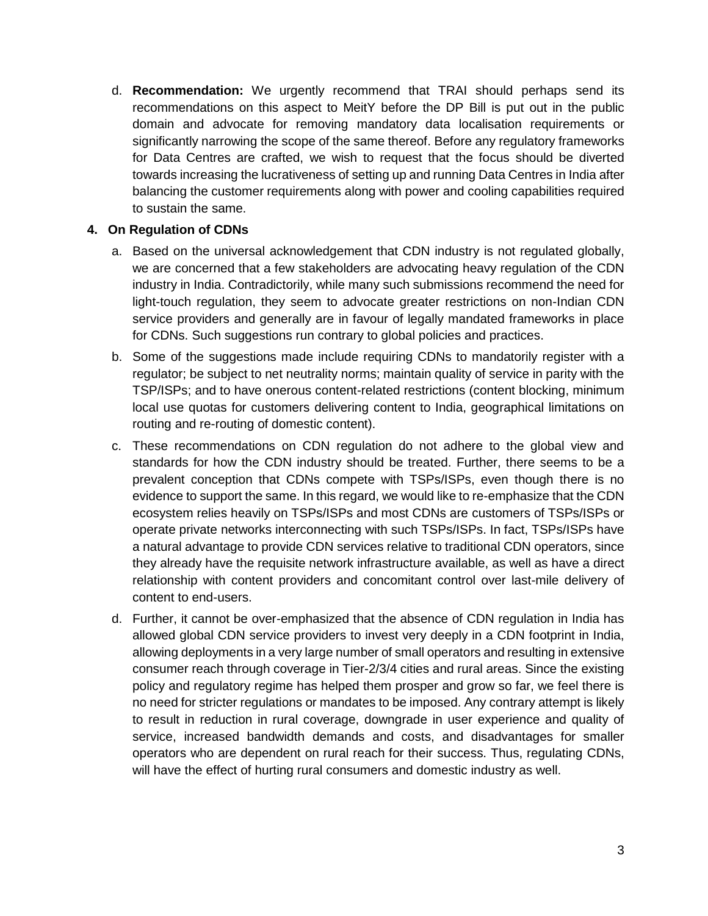d. **Recommendation:** We urgently recommend that TRAI should perhaps send its recommendations on this aspect to MeitY before the DP Bill is put out in the public domain and advocate for removing mandatory data localisation requirements or significantly narrowing the scope of the same thereof. Before any regulatory frameworks for Data Centres are crafted, we wish to request that the focus should be diverted towards increasing the lucrativeness of setting up and running Data Centres in India after balancing the customer requirements along with power and cooling capabilities required to sustain the same.

## **4. On Regulation of CDNs**

- a. Based on the universal acknowledgement that CDN industry is not regulated globally, we are concerned that a few stakeholders are advocating heavy regulation of the CDN industry in India. Contradictorily, while many such submissions recommend the need for light-touch regulation, they seem to advocate greater restrictions on non-Indian CDN service providers and generally are in favour of legally mandated frameworks in place for CDNs. Such suggestions run contrary to global policies and practices.
- b. Some of the suggestions made include requiring CDNs to mandatorily register with a regulator; be subject to net neutrality norms; maintain quality of service in parity with the TSP/ISPs; and to have onerous content-related restrictions (content blocking, minimum local use quotas for customers delivering content to India, geographical limitations on routing and re-routing of domestic content).
- c. These recommendations on CDN regulation do not adhere to the global view and standards for how the CDN industry should be treated. Further, there seems to be a prevalent conception that CDNs compete with TSPs/ISPs, even though there is no evidence to support the same. In this regard, we would like to re-emphasize that the CDN ecosystem relies heavily on TSPs/ISPs and most CDNs are customers of TSPs/ISPs or operate private networks interconnecting with such TSPs/ISPs. In fact, TSPs/ISPs have a natural advantage to provide CDN services relative to traditional CDN operators, since they already have the requisite network infrastructure available, as well as have a direct relationship with content providers and concomitant control over last-mile delivery of content to end-users.
- d. Further, it cannot be over-emphasized that the absence of CDN regulation in India has allowed global CDN service providers to invest very deeply in a CDN footprint in India, allowing deployments in a very large number of small operators and resulting in extensive consumer reach through coverage in Tier-2/3/4 cities and rural areas. Since the existing policy and regulatory regime has helped them prosper and grow so far, we feel there is no need for stricter regulations or mandates to be imposed. Any contrary attempt is likely to result in reduction in rural coverage, downgrade in user experience and quality of service, increased bandwidth demands and costs, and disadvantages for smaller operators who are dependent on rural reach for their success. Thus, regulating CDNs, will have the effect of hurting rural consumers and domestic industry as well.